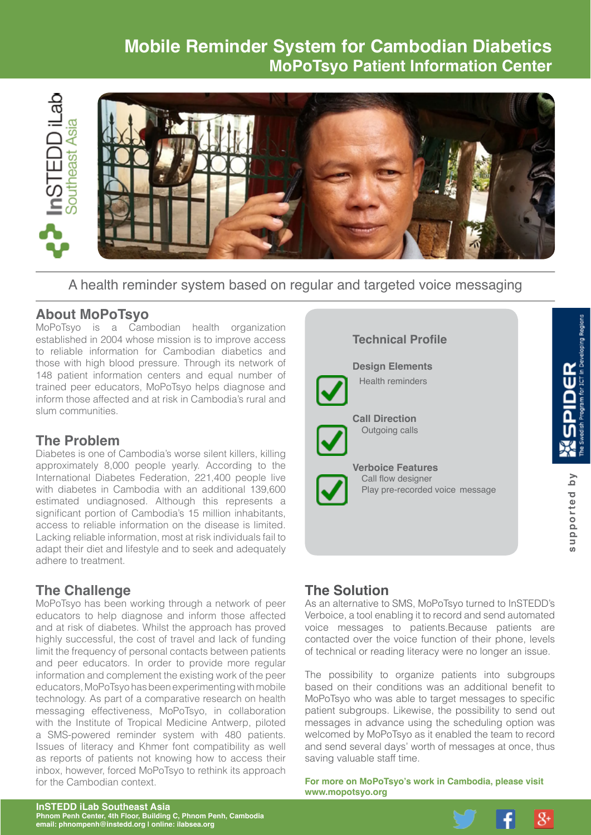# **Mobile Reminder System for Cambodian Diabetics MoPoTsyo Patient Information Center**



A health reminder system based on regular and targeted voice messaging

### **About MoPoTsyo**

MoPoTsyo is a Cambodian health organization established in 2004 whose mission is to improve access to reliable information for Cambodian diabetics and those with high blood pressure. Through its network of 148 patient information centers and equal number of trained peer educators, MoPoTsyo helps diagnose and inform those affected and at risk in Cambodia's rural and slum communities.

### **The Problem**

Diabetes is one of Cambodia's worse silent killers, killing approximately 8,000 people yearly. According to the International Diabetes Federation, 221,400 people live with diabetes in Cambodia with an additional 139,600 estimated undiagnosed. Although this represents a significant portion of Cambodia's 15 million inhabitants, access to reliable information on the disease is limited. Lacking reliable information, most at risk individuals fail to adapt their diet and lifestyle and to seek and adequately adhere to treatment.

# **The Challenge**

MoPoTsyo has been working through a network of peer educators to help diagnose and inform those affected and at risk of diabetes. Whilst the approach has proved highly successful, the cost of travel and lack of funding limit the frequency of personal contacts between patients and peer educators. In order to provide more regular information and complement the existing work of the peer educators, MoPoTsyo has been experimenting with mobile technology. As part of a comparative research on health messaging effectiveness, MoPoTsyo, in collaboration with the Institute of Tropical Medicine Antwerp, piloted a SMS-powered reminder system with 480 patients. Issues of literacy and Khmer font compatibility as well as reports of patients not knowing how to access their inbox, however, forced MoPoTsyo to rethink its approach for the Cambodian context.

#### **Technical Profile**



**Design Elements** Health reminders

**Call Direction** Outgoing calls

#### **Verboice Features** Call flow designer Play pre-recorded voice message

# **The Solution**

As an alternative to SMS, MoPoTsyo turned to InSTEDD's Verboice, a tool enabling it to record and send automated voice messages to patients.Because patients are contacted over the voice function of their phone, levels of technical or reading literacy were no longer an issue.

The possibility to organize patients into subgroups based on their conditions was an additional benefit to MoPoTsyo who was able to target messages to specific patient subgroups. Likewise, the possibility to send out messages in advance using the scheduling option was welcomed by MoPoTsyo as it enabled the team to record and send several days' worth of messages at once, thus saving valuable staff time.

**For more on MoPoTsyo's work in Cambodia, please visit [www.mopotsyo.org](http://www.mopotsyo.org)**